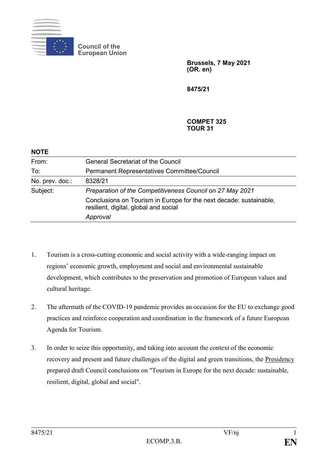

**Council of the European Union**

> **Brussels, 7 May 2021 (OR. en)**

**8475/21**

#### **COMPET 325 TOUR 31**

| <b>NOTE</b>     |                                                                                                             |
|-----------------|-------------------------------------------------------------------------------------------------------------|
| From:           | <b>General Secretariat of the Council</b>                                                                   |
| To:             | Permanent Representatives Committee/Council                                                                 |
| No. prev. doc.: | 8328/21                                                                                                     |
| Subject:        | Preparation of the Competitiveness Council on 27 May 2021                                                   |
|                 | Conclusions on Tourism in Europe for the next decade: sustainable,<br>resilient, digital, global and social |
|                 | Approval                                                                                                    |

- 1. Tourism is a cross-cutting economic and social activity with a wide-ranging impact on regions' economic growth, employment and social and environmental sustainable development, which contributes to the preservation and promotion of European values and cultural heritage.
- 2. The aftermath of the COVID-19 pandemic provides an occasion for the EU to exchange good practices and reinforce cooperation and coordination in the framework of a future European Agenda for Tourism.
- 3. In order to seize this opportunity, and taking into account the context of the economic recovery and present and future challenges of the digital and green transitions, the Presidency prepared draft Council conclusions on "Tourism in Europe for the next decade: sustainable, resilient, digital, global and social".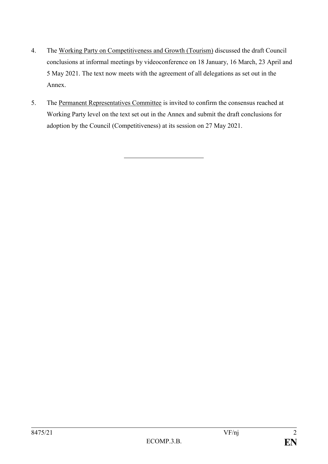- 4. The Working Party on Competitiveness and Growth (Tourism) discussed the draft Council conclusions at informal meetings by videoconference on 18 January, 16 March, 23 April and 5 May 2021. The text now meets with the agreement of all delegations as set out in the Annex.
- 5. The Permanent Representatives Committee is invited to confirm the consensus reached at Working Party level on the text set out in the Annex and submit the draft conclusions for adoption by the Council (Competitiveness) at its session on 27 May 2021.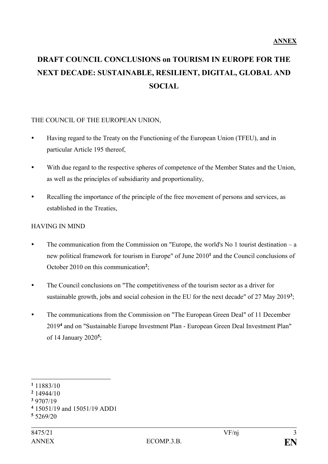# **DRAFT COUNCIL CONCLUSIONS on TOURISM IN EUROPE FOR THE NEXT DECADE: SUSTAINABLE, RESILIENT, DIGITAL, GLOBAL AND SOCIAL**

#### THE COUNCIL OF THE EUROPEAN UNION,

- Having regard to the Treaty on the Functioning of the European Union (TFEU), and in particular Article 195 thereof,
- With due regard to the respective spheres of competence of the Member States and the Union, as well as the principles of subsidiarity and proportionality,
- Recalling the importance of the principle of the free movement of persons and services, as established in the Treaties,

### HAVING IN MIND

- The communication from the Commission on "Europe, the world's No 1 tourist destination a new political framework for tourism in Europe" of June 2010**<sup>1</sup>** and the Council conclusions of October 2010 on this communication**<sup>2</sup>** ;
- The Council conclusions on "The competitiveness of the tourism sector as a driver for sustainable growth, jobs and social cohesion in the EU for the next decade" of 27 May 2019<sup>3</sup>;
- The communications from the Commission on "The European Green Deal" of 11 December 2019**<sup>4</sup>** and on "Sustainable Europe Investment Plan - European Green Deal Investment Plan" of 14 January 2020**<sup>5</sup>** ;

1

- **<sup>2</sup>** 14944/10
- **<sup>3</sup>** 9707/19

**<sup>1</sup>** 11883/10

**<sup>4</sup>** 15051/19 and 15051/19 ADD1

**<sup>5</sup>** 5269/20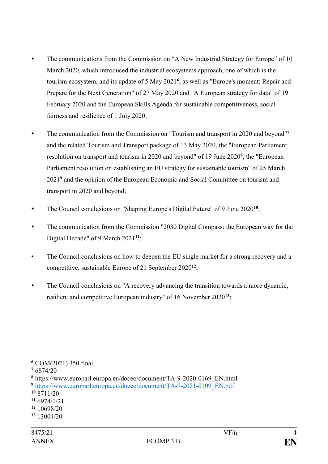- The communications from the Commission on "A New Industrial Strategy for Europe" of 10 March 2020, which introduced the industrial ecosystems approach, one of which is the tourism ecosystem, and its update of 5 May 2021**<sup>6</sup>** , as well as "Europe's moment: Repair and Prepare for the Next Generation" of 27 May 2020 and "A European strategy for data" of 19 February 2020 and the European Skills Agenda for sustainable competitiveness, social fairness and resilience of 1 July 2020;
- The communication from the Commission on "Tourism and transport in 2020 and beyond"<sup>7</sup> and the related Tourism and Transport package of 13 May 2020, the "European Parliament resolution on transport and tourism in 2020 and beyond" of 19 June 2020**<sup>8</sup>** , the "European Parliament resolution on establishing an EU strategy for sustainable tourism" of 25 March 2021**<sup>9</sup>** and the opinion of the European Economic and Social Committee on tourism and transport in 2020 and beyond;
- The Council conclusions on "Shaping Europe's Digital Future" of 9 June 2020**<sup>10</sup>**;
- The communication from the Commission "2030 Digital Compass: the European way for the Digital Decade" of 9 March 2021**<sup>11</sup>**;
- The Council conclusions on how to deepen the EU single market for a strong recovery and a competitive, sustainable Europe of 21 September 2020**<sup>12</sup>**;
- The Council conclusions on "A recovery advancing the transition towards a more dynamic, resilient and competitive European industry" of 16 November 2020**<sup>13</sup>**;

<sup>&</sup>lt;u>.</u> **<sup>6</sup>** COM(2021) 350 final

**<sup>7</sup>** 6874/20

**<sup>8</sup>** https://www.europarl.europa.eu/doceo/document/TA-9-2020-0169\_EN.html

**<sup>9</sup>** [https://www.europarl.europa.eu/doceo/document/TA-9-2021-0109\\_EN.pdf](https://www.europarl.europa.eu/doceo/document/TA-9-2021-0109_EN.pdf)

**<sup>10</sup>** 8711/20

**<sup>11</sup>** 6974/1/21

**<sup>12</sup>** 10698/20

**<sup>13</sup>** 13004/20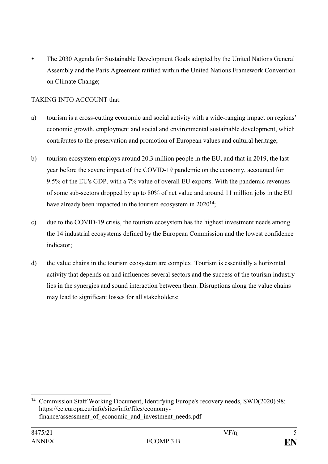The 2030 Agenda for Sustainable Development Goals adopted by the United Nations General Assembly and the Paris Agreement ratified within the United Nations Framework Convention on Climate Change;

## TAKING INTO ACCOUNT that:

- a) tourism is a cross-cutting economic and social activity with a wide-ranging impact on regions' economic growth, employment and social and environmental sustainable development, which contributes to the preservation and promotion of European values and cultural heritage;
- b) tourism ecosystem employs around 20.3 million people in the EU, and that in 2019, the last year before the severe impact of the COVID-19 pandemic on the economy, accounted for 9.5% of the EU's GDP, with a 7% value of overall EU exports. With the pandemic revenues of some sub-sectors dropped by up to 80% of net value and around 11 million jobs in the EU have already been impacted in the tourism ecosystem in 2020**<sup>14</sup>**;
- c) due to the COVID-19 crisis, the tourism ecosystem has the highest investment needs among the 14 industrial ecosystems defined by the European Commission and the lowest confidence indicator;
- d) the value chains in the tourism ecosystem are complex. Tourism is essentially a horizontal activity that depends on and influences several sectors and the success of the tourism industry lies in the synergies and sound interaction between them. Disruptions along the value chains may lead to significant losses for all stakeholders;

<sup>&</sup>lt;u>.</u> **<sup>14</sup>** Commission Staff Working Document, Identifying Europe's recovery needs, SWD(2020) 98: https://ec.europa.eu/info/sites/info/files/economyfinance/assessment\_of\_economic\_and\_investment\_needs.pdf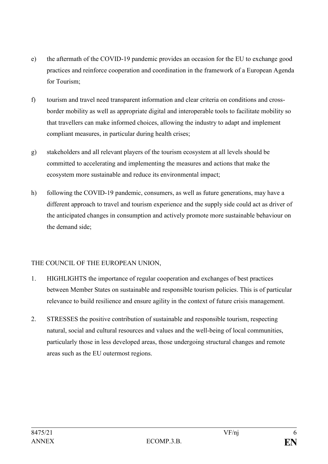- e) the aftermath of the COVID-19 pandemic provides an occasion for the EU to exchange good practices and reinforce cooperation and coordination in the framework of a European Agenda for Tourism;
- f) tourism and travel need transparent information and clear criteria on conditions and crossborder mobility as well as appropriate digital and interoperable tools to facilitate mobility so that travellers can make informed choices, allowing the industry to adapt and implement compliant measures, in particular during health crises;
- g) stakeholders and all relevant players of the tourism ecosystem at all levels should be committed to accelerating and implementing the measures and actions that make the ecosystem more sustainable and reduce its environmental impact;
- h) following the COVID-19 pandemic, consumers, as well as future generations, may have a different approach to travel and tourism experience and the supply side could act as driver of the anticipated changes in consumption and actively promote more sustainable behaviour on the demand side;

# THE COUNCIL OF THE EUROPEAN UNION,

- 1. HIGHLIGHTS the importance of regular cooperation and exchanges of best practices between Member States on sustainable and responsible tourism policies. This is of particular relevance to build resilience and ensure agility in the context of future crisis management.
- 2. STRESSES the positive contribution of sustainable and responsible tourism, respecting natural, social and cultural resources and values and the well-being of local communities, particularly those in less developed areas, those undergoing structural changes and remote areas such as the EU outermost regions.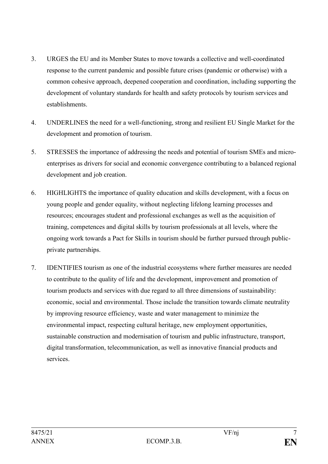- 3. URGES the EU and its Member States to move towards a collective and well-coordinated response to the current pandemic and possible future crises (pandemic or otherwise) with a common cohesive approach, deepened cooperation and coordination, including supporting the development of voluntary standards for health and safety protocols by tourism services and establishments.
- 4. UNDERLINES the need for a well-functioning, strong and resilient EU Single Market for the development and promotion of tourism.
- 5. STRESSES the importance of addressing the needs and potential of tourism SMEs and microenterprises as drivers for social and economic convergence contributing to a balanced regional development and job creation.
- 6. HIGHLIGHTS the importance of quality education and skills development, with a focus on young people and gender equality, without neglecting lifelong learning processes and resources; encourages student and professional exchanges as well as the acquisition of training, competences and digital skills by tourism professionals at all levels, where the ongoing work towards a Pact for Skills in tourism should be further pursued through publicprivate partnerships.
- 7. IDENTIFIES tourism as one of the industrial ecosystems where further measures are needed to contribute to the quality of life and the development, improvement and promotion of tourism products and services with due regard to all three dimensions of sustainability: economic, social and environmental. Those include the transition towards climate neutrality by improving resource efficiency, waste and water management to minimize the environmental impact, respecting cultural heritage, new employment opportunities, sustainable construction and modernisation of tourism and public infrastructure, transport, digital transformation, telecommunication, as well as innovative financial products and services.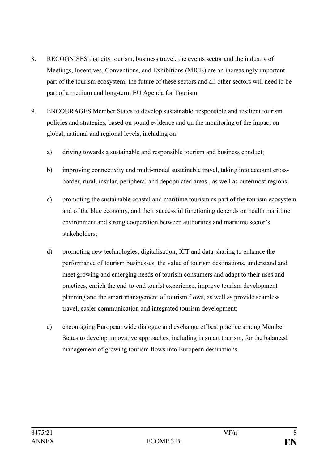- 8. RECOGNISES that city tourism, business travel, the events sector and the industry of Meetings, Incentives, Conventions, and Exhibitions (MICE) are an increasingly important part of the tourism ecosystem; the future of these sectors and all other sectors will need to be part of a medium and long-term EU Agenda for Tourism.
- 9. ENCOURAGES Member States to develop sustainable, responsible and resilient tourism policies and strategies, based on sound evidence and on the monitoring of the impact on global, national and regional levels, including on:
	- a) driving towards a sustainable and responsible tourism and business conduct;
	- b) improving connectivity and multi-modal sustainable travel, taking into account crossborder, rural, insular, peripheral and depopulated areas-, as well as outermost regions;
	- c) promoting the sustainable coastal and maritime tourism as part of the tourism ecosystem and of the blue economy, and their successful functioning depends on health maritime environment and strong cooperation between authorities and maritime sector's stakeholders;
	- d) promoting new technologies, digitalisation, ICT and data-sharing to enhance the performance of tourism businesses, the value of tourism destinations, understand and meet growing and emerging needs of tourism consumers and adapt to their uses and practices, enrich the end-to-end tourist experience, improve tourism development planning and the smart management of tourism flows, as well as provide seamless travel, easier communication and integrated tourism development;
	- e) encouraging European wide dialogue and exchange of best practice among Member States to develop innovative approaches, including in smart tourism, for the balanced management of growing tourism flows into European destinations.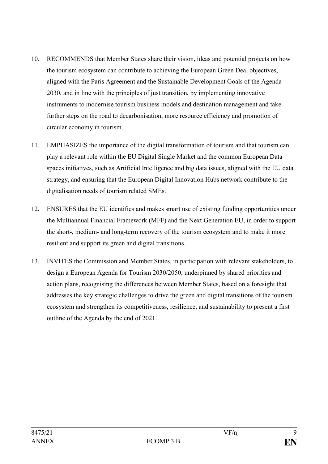- 10. RECOMMENDS that Member States share their vision, ideas and potential projects on how the tourism ecosystem can contribute to achieving the European Green Deal objectives, aligned with the Paris Agreement and the Sustainable Development Goals of the Agenda 2030, and in line with the principles of just transition, by implementing innovative instruments to modernise tourism business models and destination management and take further steps on the road to decarbonisation, more resource efficiency and promotion of circular economy in tourism.
- 11. EMPHASIZES the importance of the digital transformation of tourism and that tourism can play a relevant role within the EU Digital Single Market and the common European Data spaces initiatives, such as Artificial Intelligence and big data issues, aligned with the EU data strategy, and ensuring that the European Digital Innovation Hubs network contribute to the digitalisation needs of tourism related SMEs.
- 12. ENSURES that the EU identifies and makes smart use of existing funding opportunities under the Multiannual Financial Framework (MFF) and the Next Generation EU, in order to support the short-, medium- and long-term recovery of the tourism ecosystem and to make it more resilient and support its green and digital transitions.
- 13. INVITES the Commission and Member States, in participation with relevant stakeholders, to design a European Agenda for Tourism 2030/2050, underpinned by shared priorities and action plans, recognising the differences between Member States, based on a foresight that addresses the key strategic challenges to drive the green and digital transitions of the tourism ecosystem and strengthen its competitiveness, resilience, and sustainability to present a first outline of the Agenda by the end of 2021.